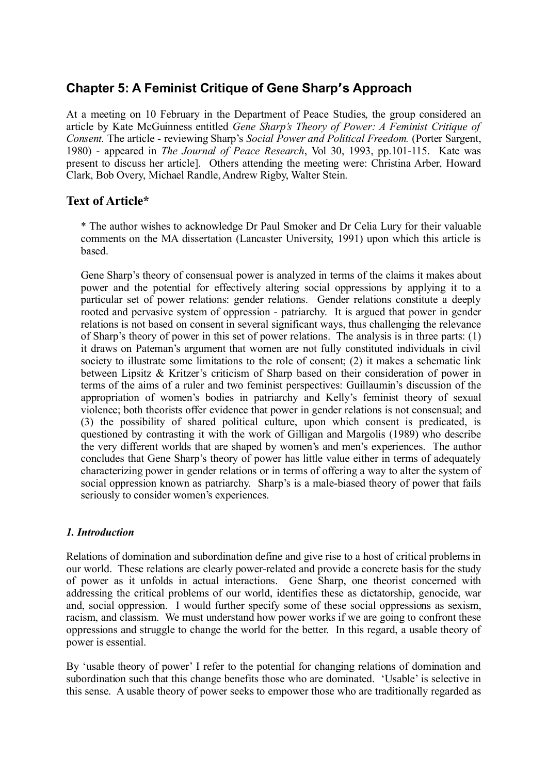# **Chapter 5: A Feminist Critique of Gene Sharp's Approach**

At a meeting on 10 February in the Department of Peace Studies, the group considered an article by Kate McGuinness entitled *Gene Sharp's Theory of Power: A Feminist Critique of Consent.* The article - reviewing Sharp's *Social Power and Political Freedom.* (Porter Sargent, 1980) - appeared in *The Journal of Peace Research*, Vol 30, 1993, pp.101-115. Kate was present to discuss her article]. Others attending the meeting were: Christina Arber, Howard Clark, Bob Overy, Michael Randle,Andrew Rigby, Walter Stein.

# **Text of Article\***

\* The author wishes to acknowledge Dr Paul Smoker and Dr Celia Lury for their valuable comments on the MA dissertation (Lancaster University, 1991) upon which this article is based.

Gene Sharp's theory of consensual power is analyzed in terms of the claims it makes about power and the potential for effectively altering social oppressions by applying it to a particular set of power relations: gender relations. Gender relations constitute a deeply rooted and pervasive system of oppression - patriarchy. It is argued that power in gender relations is not based on consent in several significant ways, thus challenging the relevance of Sharp's theory of power in this set of power relations. The analysis is in three parts: (1) it draws on Pateman's argument that women are not fully constituted individuals in civil society to illustrate some limitations to the role of consent; (2) it makes a schematic link between Lipsitz & Kritzer's criticism of Sharp based on their consideration of power in terms of the aims of a ruler and two feminist perspectives: Guillaumin's discussion of the appropriation of women's bodies in patriarchy and Kelly's feminist theory of sexual violence; both theorists offer evidence that power in gender relations is not consensual; and (3) the possibility of shared political culture, upon which consent is predicated, is questioned by contrasting it with the work of Gilligan and Margolis (1989) who describe the very different worlds that are shaped by women's and men's experiences. The author concludes that Gene Sharp's theory of power has little value either in terms of adequately characterizing power in gender relations or in terms of offering a way to alter the system of social oppression known as patriarchy. Sharp's is a male-biased theory of power that fails seriously to consider women's experiences.

# *1. Introduction*

Relations of domination and subordination define and give rise to a host of critical problems in our world. These relations are clearly power-related and provide a concrete basis for the study of power as it unfolds in actual interactions. Gene Sharp, one theorist concerned with addressing the critical problems of our world, identifies these as dictatorship, genocide, war and, social oppression. I would further specify some of these social oppressions as sexism, racism, and classism. We must understand how power works if we are going to confront these oppressions and struggle to change the world for the better. In this regard, a usable theory of power is essential.

By 'usable theory of power' I refer to the potential for changing relations of domination and subordination such that this change benefits those who are dominated. 'Usable' is selective in this sense. A usable theory of power seeks to empower those who are traditionally regarded as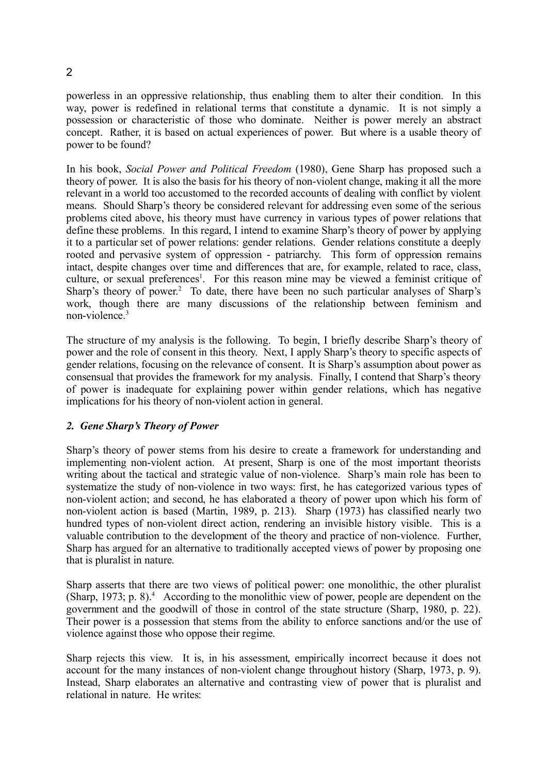powerless in an oppressive relationship, thus enabling them to alter their condition. In this way, power is redefined in relational terms that constitute a dynamic. It is not simply a possession or characteristic of those who dominate. Neither is power merely an abstract concept. Rather, it is based on actual experiences of power. But where is a usable theory of power to be found?

In his book, *Social Power and Political Freedom* (1980), Gene Sharp has proposed such a theory of power. It is also the basis for his theory of non-violent change, making it all the more relevant in a world too accustomed to the recorded accounts of dealing with conflict by violent means. Should Sharp's theory be considered relevant for addressing even some of the serious problems cited above, his theory must have currency in various types of power relations that define these problems. In this regard, I intend to examine Sharp's theory of power by applying it to a particular set of power relations: gender relations. Gender relations constitute a deeply rooted and pervasive system of oppression - patriarchy. This form of oppression remains intact, despite changes over time and differences that are, for example, related to race, class, culture, or sexual preferences<sup>[1](#page-20-0)</sup>. For this reason mine may be viewed a feminist critique of Sharp's theory of power. [2](#page-20-1) To date, there have been no such particular analyses of Sharp's work, though there are many discussions of the relationship between feminism and non-violence. [3](#page-20-2)

The structure of my analysis is the following. To begin, I briefly describe Sharp's theory of power and the role of consent in this theory. Next, I apply Sharp's theory to specific aspects of gender relations, focusing on the relevance of consent. It is Sharp's assumption about power as consensual that provides the framework for my analysis. Finally, I contend that Sharp's theory of power is inadequate for explaining power within gender relations, which has negative implications for his theory of non-violent action in general.

# *2. Gene Sharp's Theory of Power*

Sharp's theory of power stems from his desire to create a framework for understanding and implementing non-violent action. At present, Sharp is one of the most important theorists writing about the tactical and strategic value of non-violence. Sharp's main role has been to systematize the study of non-violence in two ways: first, he has categorized various types of non-violent action; and second, he has elaborated a theory of power upon which his form of non-violent action is based (Martin, 1989, p. 213). Sharp (1973) has classified nearly two hundred types of non-violent direct action, rendering an invisible history visible. This is a valuable contribution to the development of the theory and practice of non-violence. Further, Sharp has argued for an alternative to traditionally accepted views of power by proposing one that is pluralist in nature.

Sharp asserts that there are two views of political power: one monolithic, the other pluralist (Sharp, 1973; p. 8).<sup>[4](#page-20-3)</sup> According to the monolithic view of power, people are dependent on the government and the goodwill of those in control of the state structure (Sharp, 1980, p. 22). Their power is a possession that stems from the ability to enforce sanctions and/or the use of violence against those who oppose their regime.

Sharp rejects this view. It is, in his assessment, empirically incorrect because it does not account for the many instances of non-violent change throughout history (Sharp, 1973, p. 9). Instead, Sharp elaborates an alternative and contrasting view of power that is pluralist and relational in nature. He writes:

2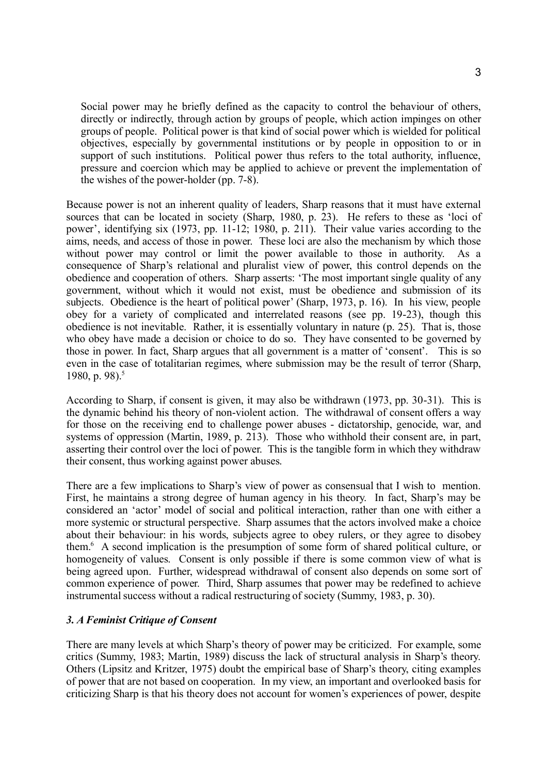Social power may he briefly defined as the capacity to control the behaviour of others, directly or indirectly, through action by groups of people, which action impinges on other groups of people. Political power is that kind of social power which is wielded for political objectives, especially by governmental institutions or by people in opposition to or in support of such institutions. Political power thus refers to the total authority, influence, pressure and coercion which may be applied to achieve or prevent the implementation of the wishes of the power-holder (pp. 7-8).

Because power is not an inherent quality of leaders, Sharp reasons that it must have external sources that can be located in society (Sharp, 1980, p. 23). He refers to these as 'loci of power', identifying six (1973, pp. 11-12; 1980, p. 211). Their value varies according to the aims, needs, and access of those in power. These loci are also the mechanism by which those without power may control or limit the power available to those in authority. As a consequence of Sharp's relational and pluralist view of power, this control depends on the obedience and cooperation of others. Sharp asserts: 'The most important single quality of any government, without which it would not exist, must be obedience and submission of its subjects. Obedience is the heart of political power' (Sharp, 1973, p. 16). In his view, people obey for a variety of complicated and interrelated reasons (see pp. 19-23), though this obedience is not inevitable. Rather, it is essentially voluntary in nature (p. 25). That is, those who obey have made a decision or choice to do so. They have consented to be governed by those in power. In fact, Sharp argues that all government is a matter of 'consent'. This is so even in the case of totalitarian regimes, where submission may be the result of terror (Sharp, 1980, p. 98).<sup>[5](#page-20-4)</sup>

According to Sharp, if consent is given, it may also be withdrawn (1973, pp. 30-31). This is the dynamic behind his theory of non-violent action. The withdrawal of consent offers a way for those on the receiving end to challenge power abuses - dictatorship, genocide, war, and systems of oppression (Martin, 1989, p. 213). Those who withhold their consent are, in part, asserting their control over the loci of power. This is the tangible form in which they withdraw their consent, thus working against power abuses.

There are a few implications to Sharp's view of power as consensual that I wish to mention. First, he maintains a strong degree of human agency in his theory. In fact, Sharp's may be considered an 'actor' model of social and political interaction, rather than one with either a more systemic or structural perspective. Sharp assumes that the actors involved make a choice about their behaviour: in his words, subjects agree to obey rulers, or they agree to disobey them.[6](#page-20-5) A second implication is the presumption of some form of shared political culture, or homogeneity of values. Consent is only possible if there is some common view of what is being agreed upon. Further, widespread withdrawal of consent also depends on some sort of common experience of power. Third, Sharp assumes that power may be redefined to achieve instrumental success without a radical restructuring of society (Summy, 1983, p. 30).

## *3. A Feminist Critique of Consent*

There are many levels at which Sharp's theory of power may be criticized. For example, some critics (Summy, 1983; Martin, 1989) discuss the lack of structural analysis in Sharp's theory. Others (Lipsitz and Kritzer, 1975) doubt the empirical base of Sharp's theory, citing examples of power that are not based on cooperation. In my view, an important and overlooked basis for criticizing Sharp is that his theory does not account for women's experiences of power, despite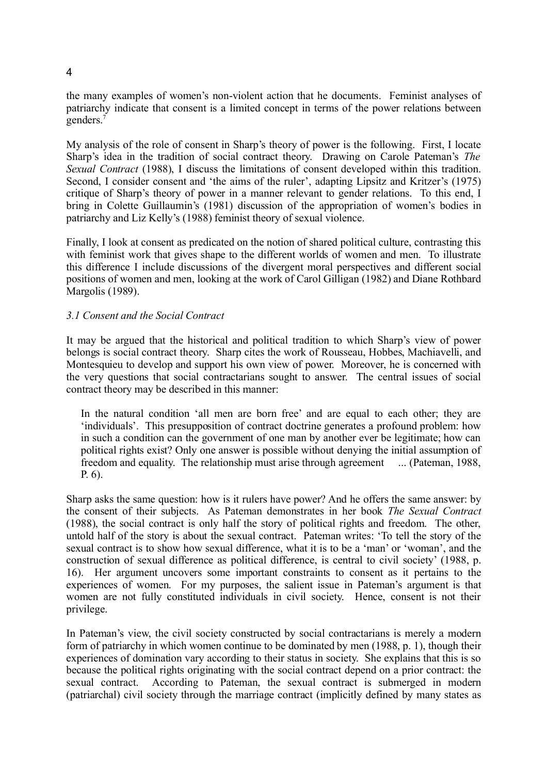the many examples of women's non-violent action that he documents. Feminist analyses of patriarchy indicate that consent is a limited concept in terms of the power relations between genders. [7](#page-20-6)

My analysis of the role of consent in Sharp's theory of power is the following. First, I locate Sharp's idea in the tradition of social contract theory. Drawing on Carole Pateman's *The Sexual Contract* (1988), I discuss the limitations of consent developed within this tradition. Second, I consider consent and 'the aims of the ruler', adapting Lipsitz and Kritzer's (1975) critique of Sharp's theory of power in a manner relevant to gender relations. To this end, I bring in Colette Guillaumin's (1981) discussion of the appropriation of women's bodies in patriarchy and Liz Kelly's (1988) feminist theory of sexual violence.

Finally, I look at consent as predicated on the notion of shared political culture, contrasting this with feminist work that gives shape to the different worlds of women and men. To illustrate this difference I include discussions of the divergent moral perspectives and different social positions of women and men, looking at the work of Carol Gilligan (1982) and Diane Rothbard Margolis (1989).

# *3.1 Consent and the Social Contract*

It may be argued that the historical and political tradition to which Sharp's view of power belongs is social contract theory. Sharp cites the work of Rousseau, Hobbes, Machiavelli, and Montesquieu to develop and support his own view of power. Moreover, he is concerned with the very questions that social contractarians sought to answer. The central issues of social contract theory may be described in this manner:

In the natural condition 'all men are born free' and are equal to each other; they are 'individuals'. This presupposition of contract doctrine generates a profound problem: how in such a condition can the government of one man by another ever be legitimate; how can political rights exist? Only one answer is possible without denying the initial assumption of freedom and equality. The relationship must arise through agreement ... (Pateman, 1988, P. 6).

Sharp asks the same question: how is it rulers have power? And he offers the same answer: by the consent of their subjects. As Pateman demonstrates in her book *The Sexual Contract* (1988), the social contract is only half the story of political rights and freedom. The other, untold half of the story is about the sexual contract. Pateman writes: 'To tell the story of the sexual contract is to show how sexual difference, what it is to be a 'man' or 'woman', and the construction of sexual difference as political difference, is central to civil society' (1988, p. 16). Her argument uncovers some important constraints to consent as it pertains to the experiences of women. For my purposes, the salient issue in Pateman's argument is that women are not fully constituted individuals in civil society. Hence, consent is not their privilege.

In Pateman's view, the civil society constructed by social contractarians is merely a modern form of patriarchy in which women continue to be dominated by men (1988, p. 1), though their experiences of domination vary according to their status in society. She explains that this is so because the political rights originating with the social contract depend on a prior contract: the sexual contract. According to Pateman, the sexual contract is submerged in modern (patriarchal) civil society through the marriage contract (implicitly defined by many states as

#### 4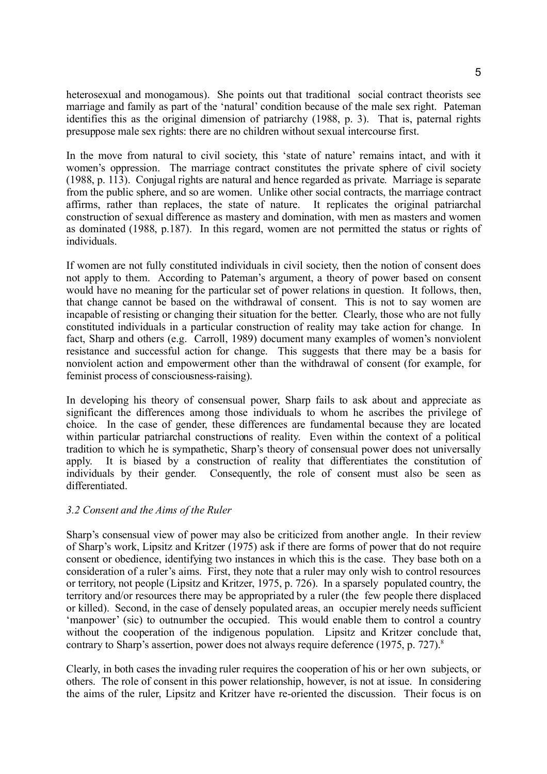heterosexual and monogamous). She points out that traditional social contract theorists see marriage and family as part of the 'natural' condition because of the male sex right. Pateman identifies this as the original dimension of patriarchy (1988, p. 3). That is, paternal rights presuppose male sex rights: there are no children without sexual intercourse first.

In the move from natural to civil society, this 'state of nature' remains intact, and with it women's oppression. The marriage contract constitutes the private sphere of civil society (1988, p. 113). Conjugal rights are natural and hence regarded as private. Marriage is separate from the public sphere, and so are women. Unlike other social contracts, the marriage contract affirms, rather than replaces, the state of nature. It replicates the original patriarchal construction of sexual difference as mastery and domination, with men as masters and women as dominated (1988, p.187). In this regard, women are not permitted the status or rights of individuals.

If women are not fully constituted individuals in civil society, then the notion of consent does not apply to them. According to Pateman's argument, a theory of power based on consent would have no meaning for the particular set of power relations in question. It follows, then, that change cannot be based on the withdrawal of consent. This is not to say women are incapable of resisting or changing their situation for the better. Clearly, those who are not fully constituted individuals in a particular construction of reality may take action for change. In fact, Sharp and others (e.g. Carroll, 1989) document many examples of women's nonviolent resistance and successful action for change. This suggests that there may be a basis for nonviolent action and empowerment other than the withdrawal of consent (for example, for feminist process of consciousness-raising).

In developing his theory of consensual power, Sharp fails to ask about and appreciate as significant the differences among those individuals to whom he ascribes the privilege of choice. In the case of gender, these differences are fundamental because they are located within particular patriarchal constructions of reality. Even within the context of a political tradition to which he is sympathetic, Sharp's theory of consensual power does not universally apply. It is biased by a construction of reality that differentiates the constitution of individuals by their gender. Consequently, the role of consent must also be seen as differentiated.

## *3.2 Consent and the Aims of the Ruler*

Sharp's consensual view of power may also be criticized from another angle. In their review of Sharp's work, Lipsitz and Kritzer (1975) ask if there are forms of power that do not require consent or obedience, identifying two instances in which this is the case. They base both on a consideration of a ruler's aims. First, they note that a ruler may only wish to control resources or territory, not people (Lipsitz and Kritzer, 1975, p. 726). In a sparsely populated country, the territory and/or resources there may be appropriated by a ruler (the few people there displaced or killed). Second, in the case of densely populated areas, an occupier merely needs sufficient 'manpower' (sic) to outnumber the occupied. This would enable them to control a country without the cooperation of the indigenous population. Lipsitz and Kritzer conclude that, contrary to Sharp's assertion, power does not always require deference (1975, p. 727). [8](#page-20-7)

Clearly, in both cases the invading ruler requires the cooperation of his or her own subjects, or others. The role of consent in this power relationship, however, is not at issue. In considering the aims of the ruler, Lipsitz and Kritzer have re-oriented the discussion. Their focus is on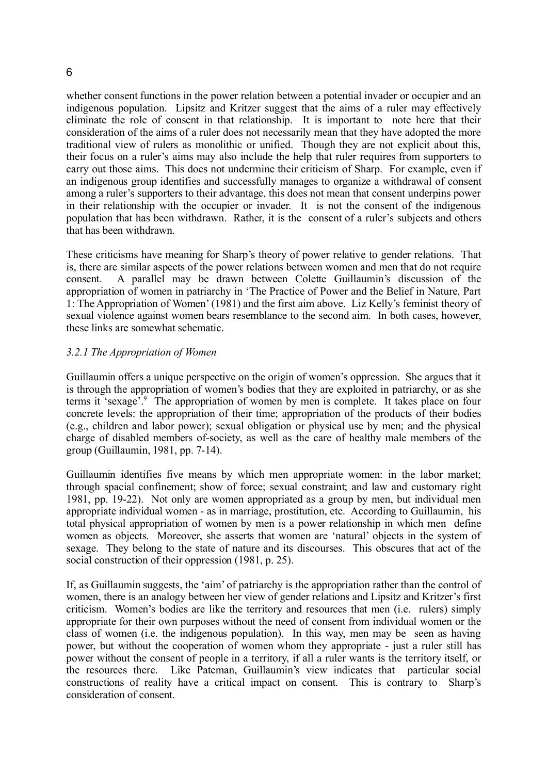whether consent functions in the power relation between a potential invader or occupier and an indigenous population. Lipsitz and Kritzer suggest that the aims of a ruler may effectively eliminate the role of consent in that relationship. It is important to note here that their consideration of the aims of a ruler does not necessarily mean that they have adopted the more traditional view of rulers as monolithic or unified. Though they are not explicit about this, their focus on a ruler's aims may also include the help that ruler requires from supporters to carry out those aims. This does not undermine their criticism of Sharp. For example, even if an indigenous group identifies and successfully manages to organize a withdrawal of consent among a ruler's supporters to their advantage, this does not mean that consent underpins power in their relationship with the occupier or invader. It is not the consent of the indigenous population that has been withdrawn. Rather, it is the consent of a ruler's subjects and others that has been withdrawn.

These criticisms have meaning for Sharp's theory of power relative to gender relations. That is, there are similar aspects of the power relations between women and men that do not require consent. A parallel may be drawn between Colette Guillaumin's discussion of the appropriation of women in patriarchy in 'The Practice of Power and the Belief in Nature, Part 1: The Appropriation of Women'(1981) and the first aim above. Liz Kelly's feminist theory of sexual violence against women bears resemblance to the second aim. In both cases, however, these links are somewhat schematic.

## *3.2.1 The Appropriation of Women*

Guillaumin offers a unique perspective on the origin of women's oppression. She argues that it is through the appropriation of women's bodies that they are exploited in patriarchy, or as she terms it 'sexage'. [9](#page-20-8) The appropriation of women by men is complete. It takes place on four concrete levels: the appropriation of their time; appropriation of the products of their bodies (e.g., children and labor power); sexual obligation or physical use by men; and the physical charge of disabled members of-society, as well as the care of healthy male members of the group (Guillaumin, 1981, pp. 7-14).

Guillaumin identifies five means by which men appropriate women: in the labor market; through spacial confinement; show of force; sexual constraint; and law and customary right 1981, pp. 19-22). Not only are women appropriated as a group by men, but individual men appropriate individual women - as in marriage, prostitution, etc. According to Guillaumin, his total physical appropriation of women by men is a power relationship in which men define women as objects. Moreover, she asserts that women are 'natural' objects in the system of sexage. They belong to the state of nature and its discourses. This obscures that act of the social construction of their oppression (1981, p. 25).

If, as Guillaumin suggests, the 'aim' of patriarchy is the appropriation rather than the control of women, there is an analogy between her view of gender relations and Lipsitz and Kritzer's first criticism. Women's bodies are like the territory and resources that men (i.e. rulers) simply appropriate for their own purposes without the need of consent from individual women or the class of women (i.e. the indigenous population). In this way, men may be seen as having power, but without the cooperation of women whom they appropriate - just a ruler still has power without the consent of people in a territory, if all a ruler wants is the territory itself, or the resources there. Like Pateman, Guillaumin's view indicates that particular social constructions of reality have a critical impact on consent. This is contrary to Sharp's consideration of consent.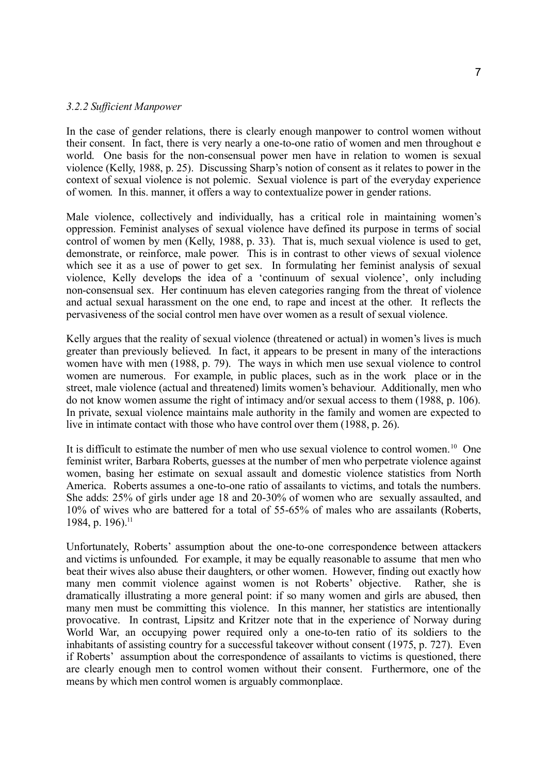#### *3.2.2 Sufficient Manpower*

In the case of gender relations, there is clearly enough manpower to control women without their consent. In fact, there is very nearly a one-to-one ratio of women and men throughout e world. One basis for the non-consensual power men have in relation to women is sexual violence (Kelly, 1988, p. 25). Discussing Sharp's notion of consent as it relates to power in the context of sexual violence is not polemic. Sexual violence is part of the everyday experience of women. In this. manner, it offers a way to contextualize power in gender rations.

Male violence, collectively and individually, has a critical role in maintaining women's oppression. Feminist analyses of sexual violence have defined its purpose in terms of social control of women by men (Kelly, 1988, p. 33). That is, much sexual violence is used to get, demonstrate, or reinforce, male power. This is in contrast to other views of sexual violence which see it as a use of power to get sex. In formulating her feminist analysis of sexual violence, Kelly develops the idea of a 'continuum of sexual violence', only including non-consensual sex. Her continuum has eleven categories ranging from the threat of violence and actual sexual harassment on the one end, to rape and incest at the other. It reflects the pervasiveness of the social control men have over women as a result of sexual violence.

Kelly argues that the reality of sexual violence (threatened or actual) in women's lives is much greater than previously believed. In fact, it appears to be present in many of the interactions women have with men (1988, p. 79). The ways in which men use sexual violence to control women are numerous. For example, in public places, such as in the work place or in the street, male violence (actual and threatened) limits women's behaviour. Additionally, men who do not know women assume the right of intimacy and/or sexual access to them (1988, p. 106). In private, sexual violence maintains male authority in the family and women are expected to live in intimate contact with those who have control over them (1988, p. 26).

It is difficult to estimate the number of men who use sexual violence to control women.<sup>[10](#page-21-0)</sup> One feminist writer, Barbara Roberts, guesses at the number of men who perpetrate violence against women, basing her estimate on sexual assault and domestic violence statistics from North America. Roberts assumes a one-to-one ratio of assailants to victims, and totals the numbers. She adds: 25% of girls under age 18 and 20-30% of women who are sexually assaulted, and 10% of wives who are battered for a total of 55-65% of males who are assailants (Roberts, 1984, p. 196).<sup>[11](#page-21-1)</sup>

Unfortunately, Roberts' assumption about the one-to-one correspondence between attackers and victims is unfounded. For example, it may be equally reasonable to assume that men who beat their wives also abuse their daughters, or other women. However, finding out exactly how many men commit violence against women is not Roberts' objective. Rather, she is dramatically illustrating a more general point: if so many women and girls are abused, then many men must be committing this violence. In this manner, her statistics are intentionally provocative. In contrast, Lipsitz and Kritzer note that in the experience of Norway during World War, an occupying power required only a one-to-ten ratio of its soldiers to the inhabitants of assisting country for a successful takeover without consent (1975, p. 727). Even if Roberts' assumption about the correspondence of assailants to victims is questioned, there are clearly enough men to control women without their consent. Furthermore, one of the means by which men control women is arguably commonplace.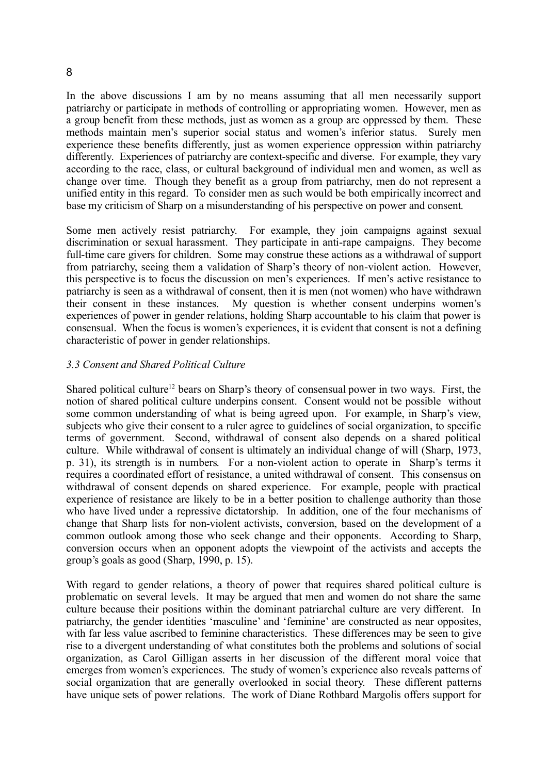In the above discussions I am by no means assuming that all men necessarily support patriarchy or participate in methods of controlling or appropriating women. However, men as a group benefit from these methods, just as women as a group are oppressed by them. These methods maintain men's superior social status and women's inferior status. Surely men experience these benefits differently, just as women experience oppression within patriarchy differently. Experiences of patriarchy are context-specific and diverse. For example, they vary according to the race, class, or cultural background of individual men and women, as well as change over time. Though they benefit as a group from patriarchy, men do not represent a unified entity in this regard. To consider men as such would be both empirically incorrect and base my criticism of Sharp on a misunderstanding of his perspective on power and consent.

Some men actively resist patriarchy. For example, they join campaigns against sexual discrimination or sexual harassment. They participate in anti-rape campaigns. They become full-time care givers for children. Some may construe these actions as a withdrawal of support from patriarchy, seeing them a validation of Sharp's theory of non-violent action. However, this perspective is to focus the discussion on men's experiences. If men's active resistance to patriarchy is seen as a withdrawal of consent, then it is men (not women) who have withdrawn their consent in these instances. My question is whether consent underpins women's experiences of power in gender relations, holding Sharp accountable to his claim that power is consensual. When the focus is women's experiences, it is evident that consent is not a defining characteristic of power in gender relationships.

## *3.3 Consent and Shared Political Culture*

Shared political culture<sup>[12](#page-21-2)</sup> bears on Sharp's theory of consensual power in two ways. First, the notion of shared political culture underpins consent. Consent would not be possible without some common understanding of what is being agreed upon. For example, in Sharp's view, subjects who give their consent to a ruler agree to guidelines of social organization, to specific terms of government. Second, withdrawal of consent also depends on a shared political culture. While withdrawal of consent is ultimately an individual change of will (Sharp, 1973, p. 31), its strength is in numbers. For a non-violent action to operate in Sharp's terms it requires a coordinated effort of resistance, a united withdrawal of consent. This consensus on withdrawal of consent depends on shared experience. For example, people with practical experience of resistance are likely to be in a better position to challenge authority than those who have lived under a repressive dictatorship. In addition, one of the four mechanisms of change that Sharp lists for non-violent activists, conversion, based on the development of a common outlook among those who seek change and their opponents. According to Sharp, conversion occurs when an opponent adopts the viewpoint of the activists and accepts the group's goals as good (Sharp, 1990, p. 15).

With regard to gender relations, a theory of power that requires shared political culture is problematic on several levels. It may be argued that men and women do not share the same culture because their positions within the dominant patriarchal culture are very different. In patriarchy, the gender identities 'masculine' and 'feminine' are constructed as near opposites, with far less value ascribed to feminine characteristics. These differences may be seen to give rise to a divergent understanding of what constitutes both the problems and solutions of social organization, as Carol Gilligan asserts in her discussion of the different moral voice that emerges from women's experiences. The study of women's experience also reveals patterns of social organization that are generally overlooked in social theory. These different patterns have unique sets of power relations. The work of Diane Rothbard Margolis offers support for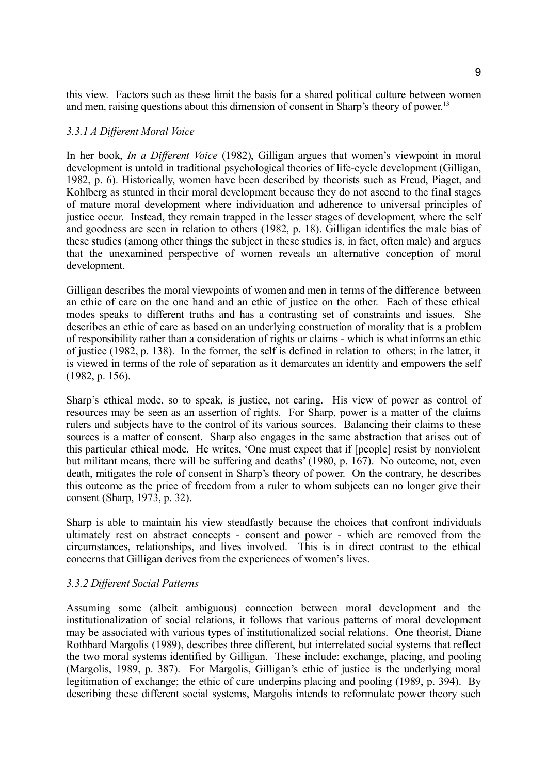this view. Factors such as these limit the basis for a shared political culture between women and men, raising questions about this dimension of consent in Sharp's theory of power.<sup>[13](#page-21-3)</sup>

#### *3.3.1 A Different Moral Voice*

In her book, *In a Different Voice* (1982), Gilligan argues that women's viewpoint in moral development is untold in traditional psychological theories of life-cycle development (Gilligan, 1982, p. 6). Historically, women have been described by theorists such as Freud, Piaget, and Kohlberg as stunted in their moral development because they do not ascend to the final stages of mature moral development where individuation and adherence to universal principles of justice occur. Instead, they remain trapped in the lesser stages of development, where the self and goodness are seen in relation to others (1982, p. 18). Gilligan identifies the male bias of these studies (among other things the subject in these studies is, in fact, often male) and argues that the unexamined perspective of women reveals an alternative conception of moral development.

Gilligan describes the moral viewpoints of women and men in terms of the difference between an ethic of care on the one hand and an ethic of justice on the other. Each of these ethical modes speaks to different truths and has a contrasting set of constraints and issues. She describes an ethic of care as based on an underlying construction of morality that is a problem of responsibility rather than a consideration of rights or claims - which is what informs an ethic of justice (1982, p. 138). In the former, the self is defined in relation to others; in the latter, it is viewed in terms of the role of separation as it demarcates an identity and empowers the self (1982, p. 156).

Sharp's ethical mode, so to speak, is justice, not caring. His view of power as control of resources may be seen as an assertion of rights. For Sharp, power is a matter of the claims rulers and subjects have to the control of its various sources. Balancing their claims to these sources is a matter of consent. Sharp also engages in the same abstraction that arises out of this particular ethical mode. He writes, 'One must expect that if [people] resist by nonviolent but militant means, there will be suffering and deaths' (1980, p. 167). No outcome, not, even death, mitigates the role of consent in Sharp's theory of power. On the contrary, he describes this outcome as the price of freedom from a ruler to whom subjects can no longer give their consent (Sharp, 1973, p. 32).

Sharp is able to maintain his view steadfastly because the choices that confront individuals ultimately rest on abstract concepts - consent and power - which are removed from the circumstances, relationships, and lives involved. This is in direct contrast to the ethical concerns that Gilligan derives from the experiences of women's lives.

#### *3.3.2 Different Social Patterns*

Assuming some (albeit ambiguous) connection between moral development and the institutionalization of social relations, it follows that various patterns of moral development may be associated with various types of institutionalized social relations. One theorist, Diane Rothbard Margolis (1989), describes three different, but interrelated social systems that reflect the two moral systems identified by Gilligan. These include: exchange, placing, and pooling (Margolis, 1989, p. 387). For Margolis, Gilligan's ethic of justice is the underlying moral legitimation of exchange; the ethic of care underpins placing and pooling (1989, p. 394). By describing these different social systems, Margolis intends to reformulate power theory such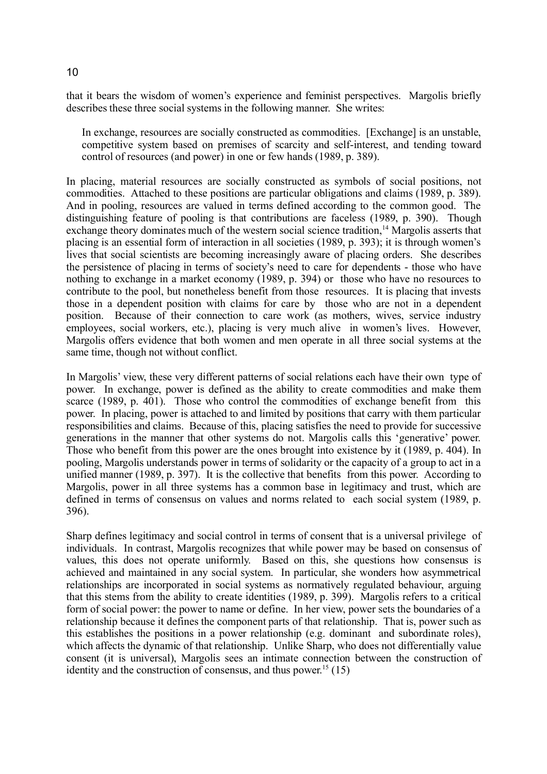that it bears the wisdom of women's experience and feminist perspectives. Margolis briefly describes these three social systems in the following manner. She writes:

In exchange, resources are socially constructed as commodities. [Exchange] is an unstable, competitive system based on premises of scarcity and self-interest, and tending toward control of resources (and power) in one or few hands (1989, p. 389).

In placing, material resources are socially constructed as symbols of social positions, not commodities. Attached to these positions are particular obligations and claims (1989, p. 389). And in pooling, resources are valued in terms defined according to the common good. The distinguishing feature of pooling is that contributions are faceless (1989, p. 390). Though exchange theory dominates much of the western social science tradition,<sup>[14](#page-21-4)</sup> Margolis asserts that placing is an essential form of interaction in all societies (1989, p. 393); it is through women's lives that social scientists are becoming increasingly aware of placing orders. She describes the persistence of placing in terms of society's need to care for dependents - those who have nothing to exchange in a market economy (1989, p. 394) or those who have no resources to contribute to the pool, but nonetheless benefit from those resources. It is placing that invests those in a dependent position with claims for care by those who are not in a dependent position. Because of their connection to care work (as mothers, wives, service industry employees, social workers, etc.), placing is very much alive in women's lives. However, Margolis offers evidence that both women and men operate in all three social systems at the same time, though not without conflict.

In Margolis' view, these very different patterns of social relations each have their own type of power. In exchange, power is defined as the ability to create commodities and make them scarce (1989, p. 401). Those who control the commodities of exchange benefit from this power. In placing, power is attached to and limited by positions that carry with them particular responsibilities and claims. Because of this, placing satisfies the need to provide for successive generations in the manner that other systems do not. Margolis calls this 'generative' power. Those who benefit from this power are the ones brought into existence by it (1989, p. 404). In pooling, Margolis understands power in terms of solidarity or the capacity of a group to act in a unified manner (1989, p. 397). It is the collective that benefits from this power. According to Margolis, power in all three systems has a common base in legitimacy and trust, which are defined in terms of consensus on values and norms related to each social system (1989, p. 396).

Sharp defines legitimacy and social control in terms of consent that is a universal privilege of individuals. In contrast, Margolis recognizes that while power may be based on consensus of values, this does not operate uniformly. Based on this, she questions how consensus is achieved and maintained in any social system. In particular, she wonders how asymmetrical relationships are incorporated in social systems as normatively regulated behaviour, arguing that this stems from the ability to create identities (1989, p. 399). Margolis refers to a critical form of social power: the power to name or define. In her view, power sets the boundaries of a relationship because it defines the component parts of that relationship. That is, power such as this establishes the positions in a power relationship (e.g. dominant and subordinate roles), which affects the dynamic of that relationship. Unlike Sharp, who does not differentially value consent (it is universal), Margolis sees an intimate connection between the construction of identity and the construction of consensus, and thus power.<sup>[15](#page-21-5)</sup> (15)

10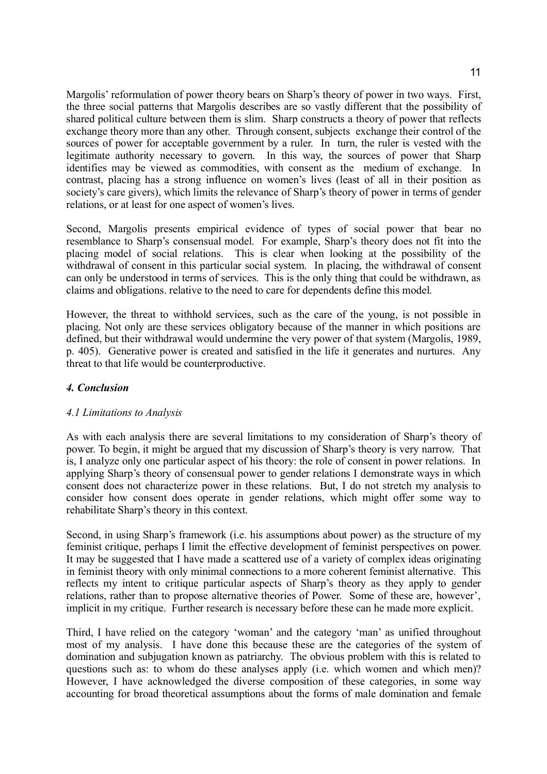Margolis' reformulation of power theory bears on Sharp's theory of power in two ways. First, the three social patterns that Margolis describes are so vastly different that the possibility of shared political culture between them is slim. Sharp constructs a theory of power that reflects exchange theory more than any other. Through consent, subjects exchange their control of the sources of power for acceptable government by a ruler. In turn, the ruler is vested with the legitimate authority necessary to govern. In this way, the sources of power that Sharp identifies may be viewed as commodities, with consent as the medium of exchange. In contrast, placing has a strong influence on women's lives (least of all in their position as society's care givers), which limits the relevance of Sharp's theory of power in terms of gender relations, or at least for one aspect of women's lives.

Second, Margolis presents empirical evidence of types of social power that bear no resemblance to Sharp's consensual model. For example, Sharp's theory does not fit into the placing model of social relations. This is clear when looking at the possibility of the withdrawal of consent in this particular social system. In placing, the withdrawal of consent can only be understood in terms of services. This is the only thing that could be withdrawn, as claims and obligations. relative to the need to care for dependents define this model.

However, the threat to withhold services, such as the care of the young, is not possible in placing. Not only are these services obligatory because of the manner in which positions are defined, but their withdrawal would undermine the very power of that system (Margolis, 1989, p. 405). Generative power is created and satisfied in the life it generates and nurtures. Any threat to that life would be counterproductive.

## *4. Conclusion*

## *4.1 Limitations to Analysis*

As with each analysis there are several limitations to my consideration of Sharp's theory of power. To begin, it might be argued that my discussion of Sharp's theory is very narrow. That is, I analyze only one particular aspect of his theory: the role of consent in power relations. In applying Sharp's theory of consensual power to gender relations I demonstrate ways in which consent does not characterize power in these relations. But, I do not stretch my analysis to consider how consent does operate in gender relations, which might offer some way to rehabilitate Sharp's theory in this context.

Second, in using Sharp's framework (i.e. his assumptions about power) as the structure of my feminist critique, perhaps I limit the effective development of feminist perspectives on power. It may be suggested that I have made a scattered use of a variety of complex ideas originating in feminist theory with only minimal connections to a more coherent feminist alternative. This reflects my intent to critique particular aspects of Sharp's theory as they apply to gender relations, rather than to propose alternative theories of Power. Some of these are, however', implicit in my critique. Further research is necessary before these can he made more explicit.

Third, I have relied on the category 'woman' and the category 'man' as unified throughout most of my analysis. I have done this because these are the categories of the system of domination and subjugation known as patriarchy. The obvious problem with this is related to questions such as: to whom do these analyses apply (i.e. which women and which men)? However, I have acknowledged the diverse composition of these categories, in some way accounting for broad theoretical assumptions about the forms of male domination and female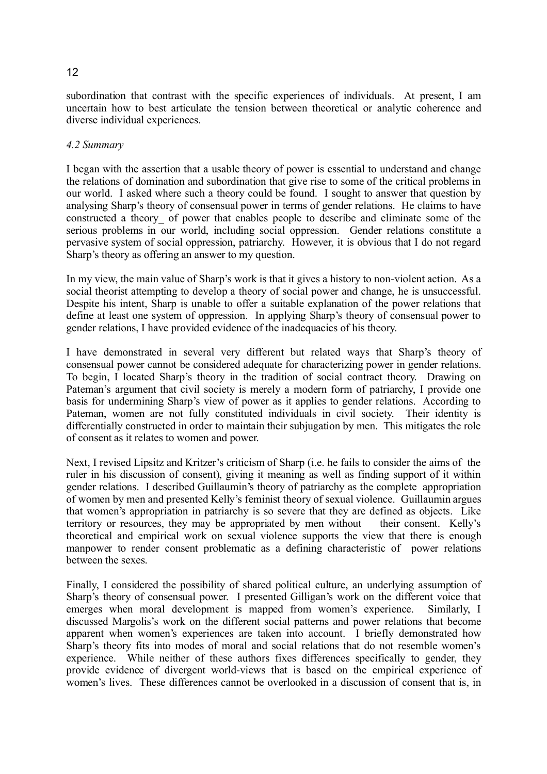# subordination that contrast with the specific experiences of individuals. At present, I am uncertain how to best articulate the tension between theoretical or analytic coherence and diverse individual experiences.

## *4.2 Summary*

I began with the assertion that a usable theory of power is essential to understand and change the relations of domination and subordination that give rise to some of the critical problems in our world. I asked where such a theory could be found. I sought to answer that question by analysing Sharp's theory of consensual power in terms of gender relations. He claims to have constructed a theory of power that enables people to describe and eliminate some of the serious problems in our world, including social oppression. Gender relations constitute a pervasive system of social oppression, patriarchy. However, it is obvious that I do not regard Sharp's theory as offering an answer to my question.

In my view, the main value of Sharp's work is that it gives a history to non-violent action. As a social theorist attempting to develop a theory of social power and change, he is unsuccessful. Despite his intent, Sharp is unable to offer a suitable explanation of the power relations that define at least one system of oppression. In applying Sharp's theory of consensual power to gender relations, I have provided evidence of the inadequacies of his theory.

I have demonstrated in several very different but related ways that Sharp's theory of consensual power cannot be considered adequate for characterizing power in gender relations. To begin, I located Sharp's theory in the tradition of social contract theory. Drawing on Pateman's argument that civil society is merely a modern form of patriarchy, I provide one basis for undermining Sharp's view of power as it applies to gender relations. According to Pateman, women are not fully constituted individuals in civil society. Their identity is differentially constructed in order to maintain their subjugation by men. This mitigates the role of consent as it relates to women and power.

Next, I revised Lipsitz and Kritzer's criticism of Sharp (i.e. he fails to consider the aims of the ruler in his discussion of consent), giving it meaning as well as finding support of it within gender relations. I described Guillaumin's theory of patriarchy as the complete appropriation of women by men and presented Kelly's feminist theory of sexual violence. Guillaumin argues that women's appropriation in patriarchy is so severe that they are defined as objects. Like territory or resources, they may be appropriated by men without their consent. Kelly's theoretical and empirical work on sexual violence supports the view that there is enough manpower to render consent problematic as a defining characteristic of power relations between the sexes.

Finally, I considered the possibility of shared political culture, an underlying assumption of Sharp's theory of consensual power. I presented Gilligan's work on the different voice that emerges when moral development is mapped from women's experience. Similarly, I discussed Margolis's work on the different social patterns and power relations that become apparent when women's experiences are taken into account. I briefly demonstrated how Sharp's theory fits into modes of moral and social relations that do not resemble women's experience. While neither of these authors fixes differences specifically to gender, they provide evidence of divergent world-views that is based on the empirical experience of women's lives. These differences cannot be overlooked in a discussion of consent that is, in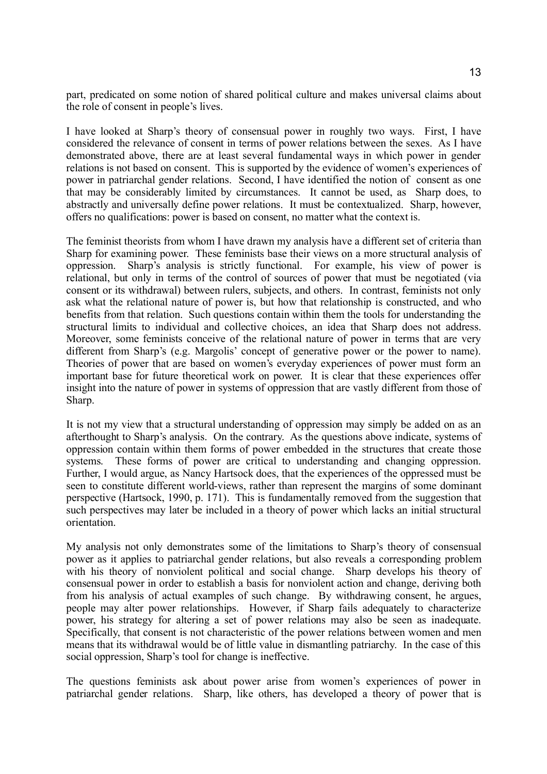part, predicated on some notion of shared political culture and makes universal claims about the role of consent in people's lives.

I have looked at Sharp's theory of consensual power in roughly two ways. First, I have considered the relevance of consent in terms of power relations between the sexes. As I have demonstrated above, there are at least several fundamental ways in which power in gender relations is not based on consent. This is supported by the evidence of women's experiences of power in patriarchal gender relations. Second, I have identified the notion of consent as one that may be considerably limited by circumstances. It cannot be used, as Sharp does, to abstractly and universally define power relations. It must be contextualized. Sharp, however, offers no qualifications: power is based on consent, no matter what the context is.

The feminist theorists from whom I have drawn my analysis have a different set of criteria than Sharp for examining power. These feminists base their views on a more structural analysis of oppression. Sharp's analysis is strictly functional. For example, his view of power is relational, but only in terms of the control of sources of power that must be negotiated (via consent or its withdrawal) between rulers, subjects, and others. In contrast, feminists not only ask what the relational nature of power is, but how that relationship is constructed, and who benefits from that relation. Such questions contain within them the tools for understanding the structural limits to individual and collective choices, an idea that Sharp does not address. Moreover, some feminists conceive of the relational nature of power in terms that are very different from Sharp's (e.g. Margolis' concept of generative power or the power to name). Theories of power that are based on women's everyday experiences of power must form an important base for future theoretical work on power. It is clear that these experiences offer insight into the nature of power in systems of oppression that are vastly different from those of Sharp.

It is not my view that a structural understanding of oppression may simply be added on as an afterthought to Sharp's analysis. On the contrary. As the questions above indicate, systems of oppression contain within them forms of power embedded in the structures that create those systems. These forms of power are critical to understanding and changing oppression. Further, I would argue, as Nancy Hartsock does, that the experiences of the oppressed must be seen to constitute different world-views, rather than represent the margins of some dominant perspective (Hartsock, 1990, p. 171). This is fundamentally removed from the suggestion that such perspectives may later be included in a theory of power which lacks an initial structural orientation.

My analysis not only demonstrates some of the limitations to Sharp's theory of consensual power as it applies to patriarchal gender relations, but also reveals a corresponding problem with his theory of nonviolent political and social change. Sharp develops his theory of consensual power in order to establish a basis for nonviolent action and change, deriving both from his analysis of actual examples of such change. By withdrawing consent, he argues, people may alter power relationships. However, if Sharp fails adequately to characterize power, his strategy for altering a set of power relations may also be seen as inadequate. Specifically, that consent is not characteristic of the power relations between women and men means that its withdrawal would be of little value in dismantling patriarchy. In the case of this social oppression, Sharp's tool for change is ineffective.

The questions feminists ask about power arise from women's experiences of power in patriarchal gender relations. Sharp, like others, has developed a theory of power that is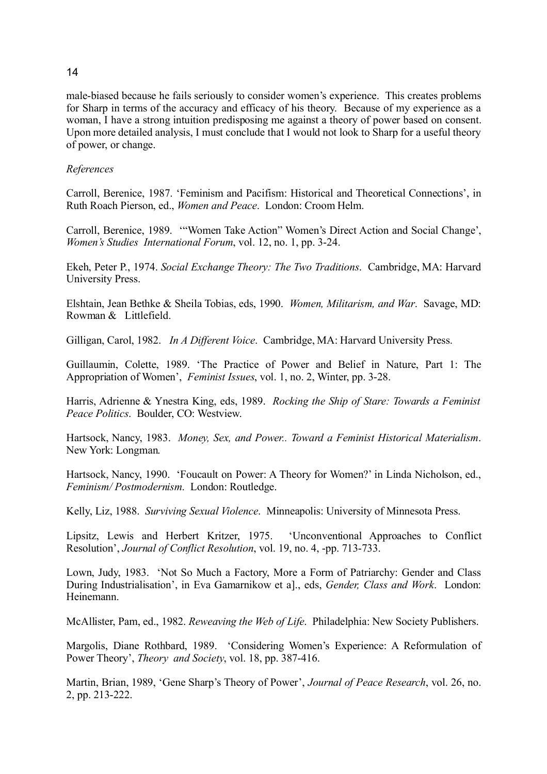## 14

male-biased because he fails seriously to consider women's experience. This creates problems for Sharp in terms of the accuracy and efficacy of his theory. Because of my experience as a woman, I have a strong intuition predisposing me against a theory of power based on consent. Upon more detailed analysis, I must conclude that I would not look to Sharp for a useful theory of power, or change.

# *References*

Carroll, Berenice, 1987. 'Feminism and Pacifism: Historical and Theoretical Connections', in Ruth Roach Pierson, ed., *Women and Peace*. London: Croom Helm.

Carroll, Berenice, 1989. '"Women Take Action" Women's Direct Action and Social Change', *Women's Studies International Forum*, vol. 12, no. 1, pp. 3-24.

Ekeh, Peter P., 1974. *Social Exchange Theory: The Two Traditions*. Cambridge, MA: Harvard University Press.

Elshtain, Jean Bethke & Sheila Tobias, eds, 1990. *Women, Militarism, and War*. Savage, MD: Rowman & Littlefield.

Gilligan, Carol, 1982. *In A Different Voice*. Cambridge, MA: Harvard University Press.

Guillaumin, Colette, 1989. 'The Practice of Power and Belief in Nature, Part 1: The Appropriation of Women', *Feminist Issues*, vol. 1, no. 2, Winter, pp. 3-28.

Harris, Adrienne & Ynestra King, eds, 1989. *Rocking the Ship of Stare: Towards a Feminist Peace Politics*. Boulder, CO: Westview.

Hartsock, Nancy, 1983. *Money, Sex, and Power.. Toward a Feminist Historical Materialism*. New York: Longman.

Hartsock, Nancy, 1990. 'Foucault on Power: A Theory for Women?' in Linda Nicholson, ed., *Feminism/ Postmodernism*. London: Routledge.

Kelly, Liz, 1988. *Surviving Sexual Violence*. Minneapolis: University of Minnesota Press.

Lipsitz, Lewis and Herbert Kritzer, 1975. 'Unconventional Approaches to Conflict Resolution', *Journal of Conflict Resolution*, vol. 19, no. 4, -pp. 713-733.

Lown, Judy, 1983. 'Not So Much a Factory, More a Form of Patriarchy: Gender and Class During Industrialisation', in Eva Gamarnikow et a]., eds, *Gender, Class and Work*. London: Heinemann.

McAllister, Pam, ed., 1982. *Reweaving the Web of Life*. Philadelphia: New Society Publishers.

Margolis, Diane Rothbard, 1989. 'Considering Women's Experience: A Reformulation of Power Theory', *Theory and Society*, vol. 18, pp. 387-416.

Martin, Brian, 1989, 'Gene Sharp's Theory of Power', *Journal of Peace Research*, vol. 26, no. 2, pp. 213-222.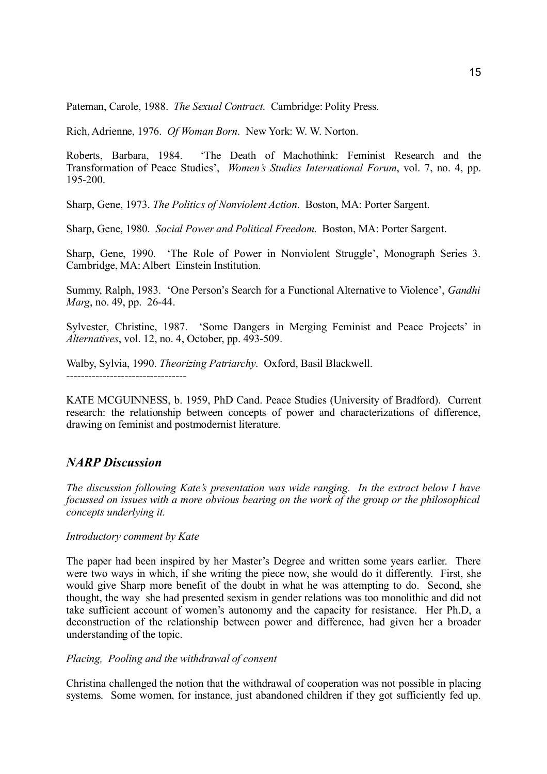Pateman, Carole, 1988. *The Sexual Contract*. Cambridge: Polity Press.

Rich, Adrienne, 1976. *Of Woman Born*. New York: W. W. Norton.

Roberts, Barbara, 1984. 'The Death of Machothink: Feminist Research and the Transformation of Peace Studies', *Women's Studies International Forum*, vol. 7, no. 4, pp. 195-200.

Sharp, Gene, 1973. *The Politics of Nonviolent Action*. Boston, MA: Porter Sargent.

Sharp, Gene, 1980. *Social Power and Political Freedom*. Boston, MA: Porter Sargent.

Sharp, Gene, 1990. 'The Role of Power in Nonviolent Struggle', Monograph Series 3. Cambridge, MA: Albert Einstein Institution.

Summy, Ralph, 1983. 'One Person's Search for a Functional Alternative to Violence', *Gandhi Marg*, no. 49, pp. 26-44.

Sylvester, Christine, 1987. 'Some Dangers in Merging Feminist and Peace Projects' in *Alternatives*, vol. 12, no. 4, October, pp. 493-509.

Walby, Sylvia, 1990. *Theorizing Patriarchy*. Oxford, Basil Blackwell. ---------------------------------

KATE MCGUINNESS, b. 1959, PhD Cand. Peace Studies (University of Bradford). Current research: the relationship between concepts of power and characterizations of difference, drawing on feminist and postmodernist literature.

# *NARP Discussion*

*The discussion following Kate's presentation was wide ranging. In the extract below I have focussed on issues with a more obvious bearing on the work of the group or the philosophical concepts underlying it.*

#### *Introductory comment by Kate*

The paper had been inspired by her Master's Degree and written some years earlier. There were two ways in which, if she writing the piece now, she would do it differently. First, she would give Sharp more benefit of the doubt in what he was attempting to do. Second, she thought, the way she had presented sexism in gender relations was too monolithic and did not take sufficient account of women's autonomy and the capacity for resistance. Her Ph.D, a deconstruction of the relationship between power and difference, had given her a broader understanding of the topic.

# *Placing, Pooling and the withdrawal of consent*

Christina challenged the notion that the withdrawal of cooperation was not possible in placing systems. Some women, for instance, just abandoned children if they got sufficiently fed up.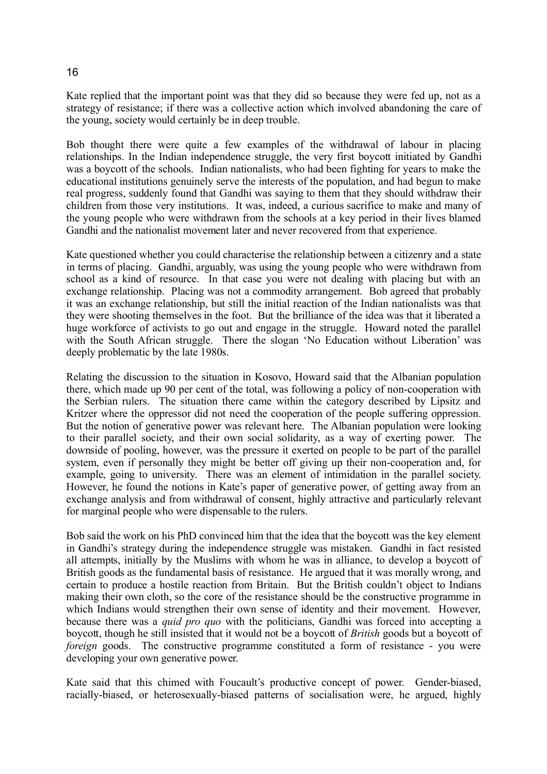Kate replied that the important point was that they did so because they were fed up, not as a strategy of resistance; if there was a collective action which involved abandoning the care of the young, society would certainly be in deep trouble.

Bob thought there were quite a few examples of the withdrawal of labour in placing relationships. In the Indian independence struggle, the very first boycott initiated by Gandhi was a boycott of the schools. Indian nationalists, who had been fighting for years to make the educational institutions genuinely serve the interests of the population, and had begun to make real progress, suddenly found that Gandhi was saying to them that they should withdraw their children from those very institutions. It was, indeed, a curious sacrifice to make and many of the young people who were withdrawn from the schools at a key period in their lives blamed Gandhi and the nationalist movement later and never recovered from that experience.

Kate questioned whether you could characterise the relationship between a citizenry and a state in terms of placing. Gandhi, arguably, was using the young people who were withdrawn from school as a kind of resource. In that case you were not dealing with placing but with an exchange relationship. Placing was not a commodity arrangement. Bob agreed that probably it was an exchange relationship, but still the initial reaction of the Indian nationalists was that they were shooting themselves in the foot. But the brilliance of the idea was that it liberated a huge workforce of activists to go out and engage in the struggle. Howard noted the parallel with the South African struggle. There the slogan 'No Education without Liberation' was deeply problematic by the late 1980s.

Relating the discussion to the situation in Kosovo, Howard said that the Albanian population there, which made up 90 per cent of the total, was following a policy of non-cooperation with the Serbian rulers. The situation there came within the category described by Lipsitz and Kritzer where the oppressor did not need the cooperation of the people suffering oppression. But the notion of generative power was relevant here. The Albanian population were looking to their parallel society, and their own social solidarity, as a way of exerting power. The downside of pooling, however, was the pressure it exerted on people to be part of the parallel system, even if personally they might be better off giving up their non-cooperation and, for example, going to university. There was an element of intimidation in the parallel society. However, he found the notions in Kate's paper of generative power, of getting away from an exchange analysis and from withdrawal of consent, highly attractive and particularly relevant for marginal people who were dispensable to the rulers.

Bob said the work on his PhD convinced him that the idea that the boycott was the key element in Gandhi's strategy during the independence struggle was mistaken. Gandhi in fact resisted all attempts, initially by the Muslims with whom he was in alliance, to develop a boycott of British goods as the fundamental basis of resistance. He argued that it was morally wrong, and certain to produce a hostile reaction from Britain. But the British couldn't object to Indians making their own cloth, so the core of the resistance should be the constructive programme in which Indians would strengthen their own sense of identity and their movement. However, because there was a *quid pro quo* with the politicians, Gandhi was forced into accepting a boycott, though he still insisted that it would not be a boycott of *British* goods but a boycott of *foreign* goods. The constructive programme constituted a form of resistance - you were developing your own generative power.

Kate said that this chimed with Foucault's productive concept of power. Gender-biased, racially-biased, or heterosexually-biased patterns of socialisation were, he argued, highly

16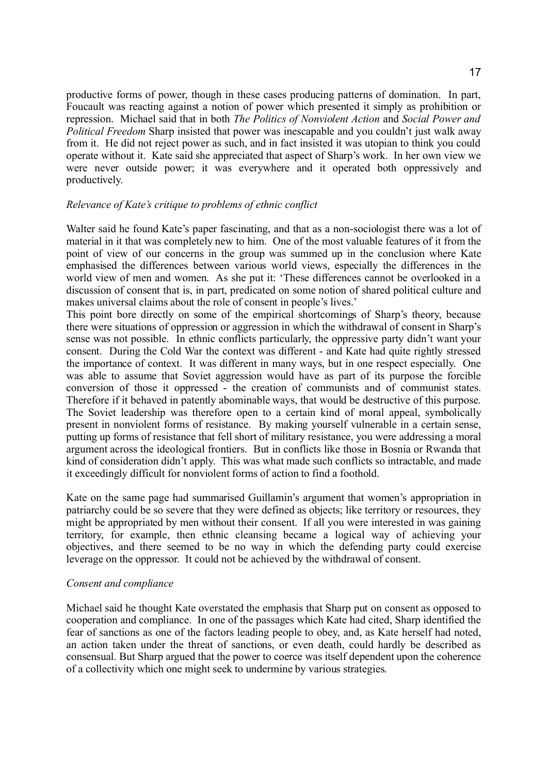productive forms of power, though in these cases producing patterns of domination. In part, Foucault was reacting against a notion of power which presented it simply as prohibition or repression. Michael said that in both *The Politics of Nonviolent Action* and *Social Power and Political Freedom* Sharp insisted that power was inescapable and you couldn't just walk away from it. He did not reject power as such, and in fact insisted it was utopian to think you could operate without it. Kate said she appreciated that aspect of Sharp's work. In her own view we were never outside power; it was everywhere and it operated both oppressively and productively.

## *Relevance of Kate's critique to problems of ethnic conflict*

Walter said he found Kate's paper fascinating, and that as a non-sociologist there was a lot of material in it that was completely new to him. One of the most valuable features of it from the point of view of our concerns in the group was summed up in the conclusion where Kate emphasised the differences between various world views, especially the differences in the world view of men and women. As she put it: 'These differences cannot be overlooked in a discussion of consent that is, in part, predicated on some notion of shared political culture and makes universal claims about the role of consent in people's lives.'

This point bore directly on some of the empirical shortcomings of Sharp's theory, because there were situations of oppression or aggression in which the withdrawal of consent in Sharp's sense was not possible. In ethnic conflicts particularly, the oppressive party didn't want your consent. During the Cold War the context was different - and Kate had quite rightly stressed the importance of context. It was different in many ways, but in one respect especially. One was able to assume that Soviet aggression would have as part of its purpose the forcible conversion of those it oppressed - the creation of communists and of communist states. Therefore if it behaved in patently abominable ways, that would be destructive of this purpose. The Soviet leadership was therefore open to a certain kind of moral appeal, symbolically present in nonviolent forms of resistance. By making yourself vulnerable in a certain sense, putting up forms of resistance that fell short of military resistance, you were addressing a moral argument across the ideological frontiers. But in conflicts like those in Bosnia or Rwanda that kind of consideration didn't apply. This was what made such conflicts so intractable, and made it exceedingly difficult for nonviolent forms of action to find a foothold.

Kate on the same page had summarised Guillamin's argument that women's appropriation in patriarchy could be so severe that they were defined as objects; like territory or resources, they might be appropriated by men without their consent. If all you were interested in was gaining territory, for example, then ethnic cleansing became a logical way of achieving your objectives, and there seemed to be no way in which the defending party could exercise leverage on the oppressor. It could not be achieved by the withdrawal of consent.

#### *Consent and compliance*

Michael said he thought Kate overstated the emphasis that Sharp put on consent as opposed to cooperation and compliance. In one of the passages which Kate had cited, Sharp identified the fear of sanctions as one of the factors leading people to obey, and, as Kate herself had noted, an action taken under the threat of sanctions, or even death, could hardly be described as consensual. But Sharp argued that the power to coerce was itself dependent upon the coherence of a collectivity which one might seek to undermine by various strategies.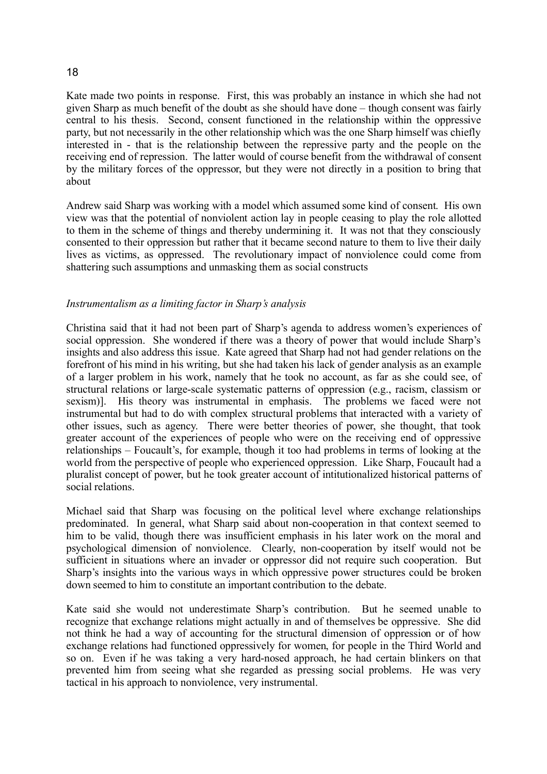# 18

Kate made two points in response. First, this was probably an instance in which she had not given Sharp as much benefit of the doubt as she should have done – though consent was fairly central to his thesis. Second, consent functioned in the relationship within the oppressive party, but not necessarily in the other relationship which was the one Sharp himself was chiefly interested in - that is the relationship between the repressive party and the people on the receiving end of repression. The latter would of course benefit from the withdrawal of consent by the military forces of the oppressor, but they were not directly in a position to bring that about

Andrew said Sharp was working with a model which assumed some kind of consent. His own view was that the potential of nonviolent action lay in people ceasing to play the role allotted to them in the scheme of things and thereby undermining it. It was not that they consciously consented to their oppression but rather that it became second nature to them to live their daily lives as victims, as oppressed. The revolutionary impact of nonviolence could come from shattering such assumptions and unmasking them as social constructs

## *Instrumentalism as a limiting factor in Sharp's analysis*

Christina said that it had not been part of Sharp's agenda to address women's experiences of social oppression. She wondered if there was a theory of power that would include Sharp's insights and also address this issue. Kate agreed that Sharp had not had gender relations on the forefront of his mind in his writing, but she had taken his lack of gender analysis as an example of a larger problem in his work, namely that he took no account, as far as she could see, of structural relations or large-scale systematic patterns of oppression (e.g., racism, classism or sexism)]. His theory was instrumental in emphasis. The problems we faced were not instrumental but had to do with complex structural problems that interacted with a variety of other issues, such as agency. There were better theories of power, she thought, that took greater account of the experiences of people who were on the receiving end of oppressive relationships – Foucault's, for example, though it too had problems in terms of looking at the world from the perspective of people who experienced oppression. Like Sharp, Foucault had a pluralist concept of power, but he took greater account of intitutionalized historical patterns of social relations.

Michael said that Sharp was focusing on the political level where exchange relationships predominated. In general, what Sharp said about non-cooperation in that context seemed to him to be valid, though there was insufficient emphasis in his later work on the moral and psychological dimension of nonviolence. Clearly, non-cooperation by itself would not be sufficient in situations where an invader or oppressor did not require such cooperation. But Sharp's insights into the various ways in which oppressive power structures could be broken down seemed to him to constitute an important contribution to the debate.

Kate said she would not underestimate Sharp's contribution. But he seemed unable to recognize that exchange relations might actually in and of themselves be oppressive. She did not think he had a way of accounting for the structural dimension of oppression or of how exchange relations had functioned oppressively for women, for people in the Third World and so on. Even if he was taking a very hard-nosed approach, he had certain blinkers on that prevented him from seeing what she regarded as pressing social problems. He was very tactical in his approach to nonviolence, very instrumental.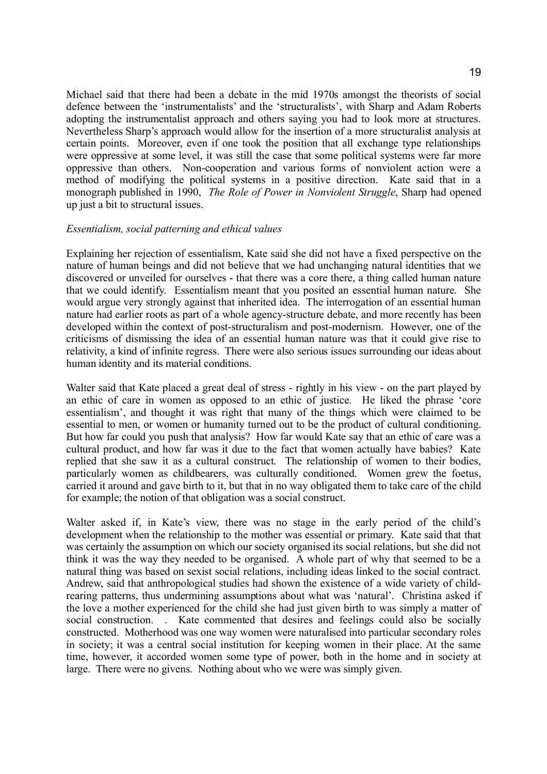Michael said that there had been a debate in the mid 1970s amongst the theorists of social defence between the 'instrumentalists' and the 'structuralists', with Sharp and Adam Roberts adopting the instrumentalist approach and others saying you had to look more at structures. Nevertheless Sharp's approach would allow for the insertion of a more structuralist analysis at certain points. Moreover, even if one took the position that all exchange type relationships were oppressive at some level, it was still the case that some political systems were far more oppressive than others. Non-cooperation and various forms of nonviolent action were a method of modifying the political systems in a positive direction. Kate said that in a monograph published in 1990, *The Role of Power in Nonviolent Struggle*, Sharp had opened up just a bit to structural issues.

#### *Essentialism, social patterning and ethical values*

Explaining her rejection of essentialism, Kate said she did not have a fixed perspective on the nature of human beings and did not believe that we had unchanging natural identities that we discovered or unveiled for ourselves - that there was a core there, a thing called human nature that we could identify. Essentialism meant that you posited an essential human nature. She would argue very strongly against that inherited idea. The interrogation of an essential human nature had earlier roots as part of a whole agency-structure debate, and more recently has been developed within the context of post-structuralism and post-modernism. However, one of the criticisms of dismissing the idea of an essential human nature was that it could give rise to relativity, a kind of infinite regress. There were also serious issues surrounding our ideas about human identity and its material conditions.

Walter said that Kate placed a great deal of stress - rightly in his view - on the part played by an ethic of care in women as opposed to an ethic of justice. He liked the phrase 'core essentialism', and thought it was right that many of the things which were claimed to be essential to men, or women or humanity turned out to be the product of cultural conditioning. But how far could you push that analysis? How far would Kate say that an ethic of care was a cultural product, and how far was it due to the fact that women actually have babies? Kate replied that she saw it as a cultural construct. The relationship of women to their bodies, particularly women as childbearers, was culturally conditioned. Women grew the foetus, carried it around and gave birth to it, but that in no way obligated them to take care of the child for example; the notion of that obligation was a social construct.

Walter asked if, in Kate's view, there was no stage in the early period of the child's development when the relationship to the mother was essential or primary. Kate said that that was certainly the assumption on which our society organised its social relations, but she did not think it was the way they needed to be organised. A whole part of why that seemed to be a natural thing was based on sexist social relations, including ideas linked to the social contract. Andrew, said that anthropological studies had shown the existence of a wide variety of childrearing patterns, thus undermining assumptions about what was 'natural'. Christina asked if the love a mother experienced for the child she had just given birth to was simply a matter of social construction. . Kate commented that desires and feelings could also be socially constructed. Motherhood was one way women were naturalised into particular secondary roles in society; it was a central social institution for keeping women in their place. At the same time, however, it accorded women some type of power, both in the home and in society at large. There were no givens. Nothing about who we were was simply given.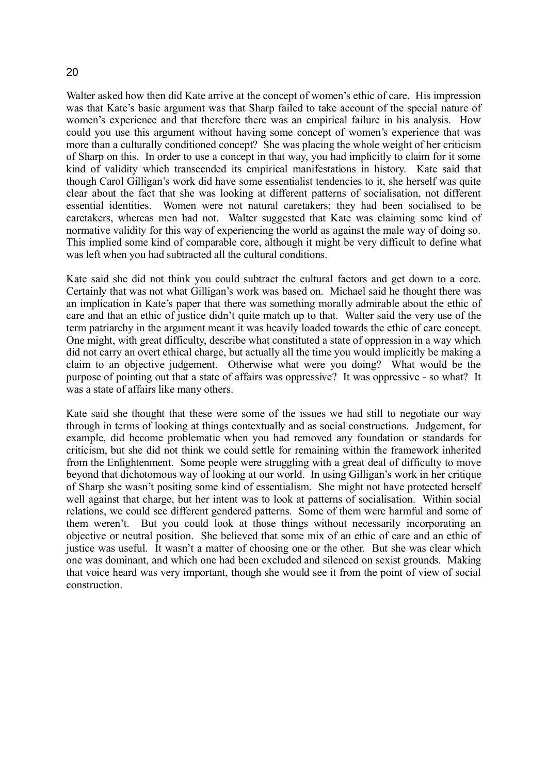Walter asked how then did Kate arrive at the concept of women's ethic of care. His impression was that Kate's basic argument was that Sharp failed to take account of the special nature of women's experience and that therefore there was an empirical failure in his analysis. How could you use this argument without having some concept of women's experience that was more than a culturally conditioned concept? She was placing the whole weight of her criticism of Sharp on this. In order to use a concept in that way, you had implicitly to claim for it some kind of validity which transcended its empirical manifestations in history. Kate said that though Carol Gilligan's work did have some essentialist tendencies to it, she herself was quite clear about the fact that she was looking at different patterns of socialisation, not different essential identities. Women were not natural caretakers; they had been socialised to be caretakers, whereas men had not. Walter suggested that Kate was claiming some kind of normative validity for this way of experiencing the world as against the male way of doing so. This implied some kind of comparable core, although it might be very difficult to define what was left when you had subtracted all the cultural conditions.

Kate said she did not think you could subtract the cultural factors and get down to a core. Certainly that was not what Gilligan's work was based on. Michael said he thought there was an implication in Kate's paper that there was something morally admirable about the ethic of care and that an ethic of justice didn't quite match up to that. Walter said the very use of the term patriarchy in the argument meant it was heavily loaded towards the ethic of care concept. One might, with great difficulty, describe what constituted a state of oppression in a way which did not carry an overt ethical charge, but actually all the time you would implicitly be making a claim to an objective judgement. Otherwise what were you doing? What would be the purpose of pointing out that a state of affairs was oppressive? It was oppressive - so what? It was a state of affairs like many others.

Kate said she thought that these were some of the issues we had still to negotiate our way through in terms of looking at things contextually and as social constructions. Judgement, for example, did become problematic when you had removed any foundation or standards for criticism, but she did not think we could settle for remaining within the framework inherited from the Enlightenment. Some people were struggling with a great deal of difficulty to move beyond that dichotomous way of looking at our world. In using Gilligan's work in her critique of Sharp she wasn't positing some kind of essentialism. She might not have protected herself well against that charge, but her intent was to look at patterns of socialisation. Within social relations, we could see different gendered patterns. Some of them were harmful and some of them weren't. But you could look at those things without necessarily incorporating an objective or neutral position. She believed that some mix of an ethic of care and an ethic of justice was useful. It wasn't a matter of choosing one or the other. But she was clear which one was dominant, and which one had been excluded and silenced on sexist grounds. Making that voice heard was very important, though she would see it from the point of view of social construction.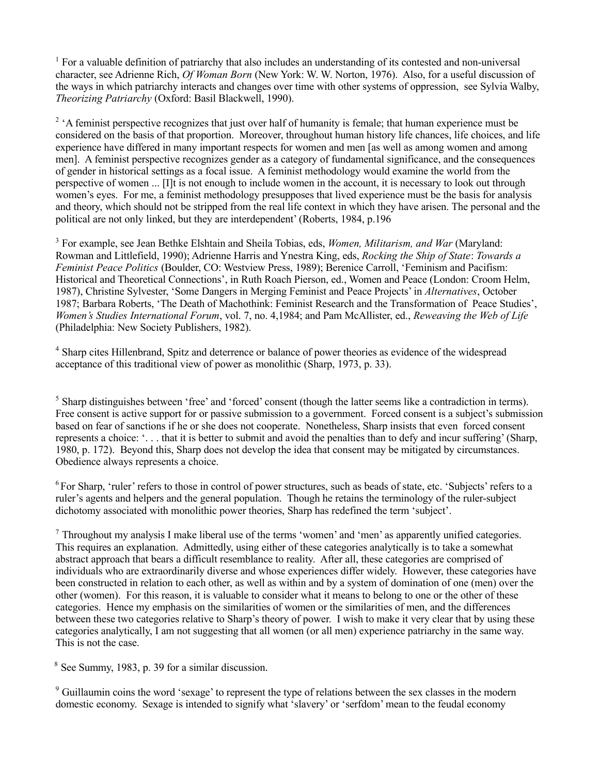<sup>1</sup> For a valuable definition of patriarchy that also includes an understanding of its contested and non-universal character, see Adrienne Rich, *Of Woman Born* (New York: W. W. Norton, 1976). Also, for a useful discussion of the ways in which patriarchy interacts and changes over time with other systems of oppression, see Sylvia Walby, *Theorizing Patriarchy* (Oxford: Basil Blackwell, 1990).

<span id="page-20-1"></span><span id="page-20-0"></span><sup>2</sup> 'A feminist perspective recognizes that just over half of humanity is female; that human experience must be considered on the basis of that proportion. Moreover, throughout human history life chances, life choices, and life experience have differed in many important respects for women and men [as well as among women and among men]. A feminist perspective recognizes gender as a category of fundamental significance, and the consequences of gender in historical settings as a focal issue. A feminist methodology would examine the world from the perspective of women ... [I]t is not enough to include women in the account, it is necessary to look out through women's eyes. For me, a feminist methodology presupposes that lived experience must be the basis for analysis and theory, which should not be stripped from the real life context in which they have arisen. The personal and the political are not only linked, but they are interdependent' (Roberts, 1984, p.196

<span id="page-20-2"></span><sup>3</sup> For example, see Jean Bethke Elshtain and Sheila Tobias, eds, *Women, Militarism, and War* (Maryland: Rowman and Littlefield, 1990); Adrienne Harris and Ynestra King, eds, *Rocking the Ship of State*: *Towards a Feminist Peace Politics* (Boulder, CO: Westview Press, 1989); Berenice Carroll, 'Feminism and Pacifism: Historical and Theoretical Connections', in Ruth Roach Pierson, ed., Women and Peace (London: Croom Helm, 1987), Christine Sylvester, 'Some Dangers in Merging Feminist and Peace Projects' in *Alternatives*, October 1987; Barbara Roberts, 'The Death of Machothink: Feminist Research and the Transformation of Peace Studies', *Women's Studies International Forum*, vol. 7, no. 4,1984; and Pam McAllister, ed., *Reweaving the Web of Life* (Philadelphia: New Society Publishers, 1982).

<sup>4</sup> Sharp cites Hillenbrand, Spitz and deterrence or balance of power theories as evidence of the widespread acceptance of this traditional view of power as monolithic (Sharp, 1973, p. 33).

<span id="page-20-3"></span><sup>5</sup> Sharp distinguishes between 'free' and 'forced' consent (though the latter seems like a contradiction in terms). Free consent is active support for or passive submission to a government. Forced consent is a subject's submission based on fear of sanctions if he or she does not cooperate. Nonetheless, Sharp insists that even forced consent represents a choice: '. . . that it is better to submit and avoid the penalties than to defy and incur suffering' (Sharp, 1980, p. 172). Beyond this, Sharp does not develop the idea that consent may be mitigated by circumstances. Obedience always represents a choice.

<span id="page-20-4"></span> $6$  For Sharp, 'ruler' refers to those in control of power structures, such as beads of state, etc. 'Subjects' refers to a ruler's agents and helpers and the general population. Though he retains the terminology of the ruler-subject dichotomy associated with monolithic power theories, Sharp has redefined the term 'subject'.

<span id="page-20-6"></span><span id="page-20-5"></span> $<sup>7</sup>$  Throughout my analysis I make liberal use of the terms 'women' and 'men' as apparently unified categories.</sup> This requires an explanation. Admittedly, using either of these categories analytically is to take a somewhat abstract approach that bears a difficult resemblance to reality. After all, these categories are comprised of individuals who are extraordinarily diverse and whose experiences differ widely. However, these categories have been constructed in relation to each other, as well as within and by a system of domination of one (men) over the other (women). For this reason, it is valuable to consider what it means to belong to one or the other of these categories. Hence my emphasis on the similarities of women or the similarities of men, and the differences between these two categories relative to Sharp's theory of power. I wish to make it very clear that by using these categories analytically, I am not suggesting that all women (or all men) experience patriarchy in the same way. This is not the case.

<sup>8</sup> See Summy, 1983, p. 39 for a similar discussion.

<span id="page-20-8"></span><span id="page-20-7"></span><sup>9</sup> Guillaumin coins the word 'sexage' to represent the type of relations between the sex classes in the modern domestic economy. Sexage is intended to signify what 'slavery' or 'serfdom' mean to the feudal economy